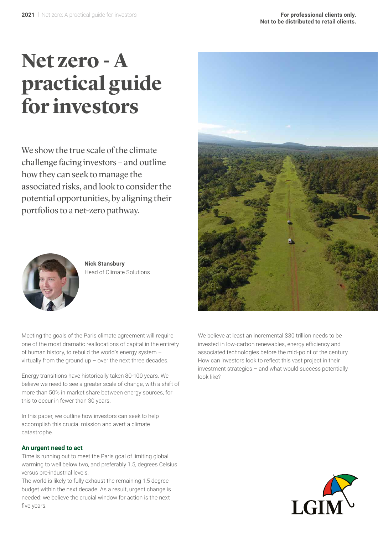# **Net zero - A practical guide for investors**

We show the true scale of the climate challenge facing investors – and outline how they can seek to manage the associated risks, and look to consider the potential opportunities, by aligning their portfolios to a net-zero pathway.



**Nick Stansbury** Head of Climate Solutions

Meeting the goals of the Paris climate agreement will require one of the most dramatic reallocations of capital in the entirety of human history, to rebuild the world's energy system – virtually from the ground up  $-$  over the next three decades.

Energy transitions have historically taken 80-100 years. We believe we need to see a greater scale of change, with a shift of more than 50% in market share between energy sources, for this to occur in fewer than 30 years.

In this paper, we outline how investors can seek to help accomplish this crucial mission and avert a climate catastrophe.

#### **An urgent need to act**

Time is running out to meet the Paris goal of limiting global warming to well below two, and preferably 1.5, degrees Celsius versus pre-industrial levels.

The world is likely to fully exhaust the remaining 1.5 degree budget within the next decade. As a result, urgent change is needed: we believe the crucial window for action is the next five years.



We believe at least an incremental \$30 trillion needs to be invested in low-carbon renewables, energy efficiency and associated technologies before the mid-point of the century. How can investors look to reflect this vast project in their investment strategies – and what would success potentially look like?

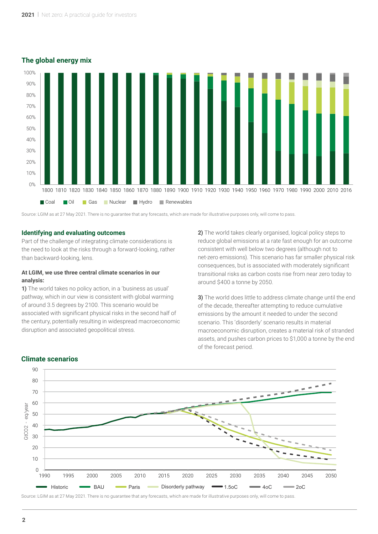## **The global energy mix**



Source: LGIM as at 27 May 2021. There is no guarantee that any forecasts, which are made for illustrative purposes only, will come to pass

#### **Identifying and evaluating outcomes**

Part of the challenge of integrating climate considerations is the need to look at the risks through a forward-looking, rather than backward-looking, lens.

#### **At LGIM, we use three central climate scenarios in our analysis:**

**1)** The world takes no policy action, in a 'business as usual' pathway, which in our view is consistent with global warming of around 3.5 degrees by 2100. This scenario would be associated with significant physical risks in the second half of the century, potentially resulting in widespread macroeconomic disruption and associated geopolitical stress.

**2)** The world takes clearly organised, logical policy steps to reduce global emissions at a rate fast enough for an outcome consistent with well below two degrees (although not to net-zero emissions). This scenario has far smaller physical risk consequences, but is associated with moderately significant transitional risks as carbon costs rise from near zero today to around \$400 a tonne by 2050.

**3)** The world does little to address climate change until the end of the decade, thereafter attempting to reduce cumulative emissions by the amount it needed to under the second scenario. This 'disorderly' scenario results in material macroeconomic disruption, creates a material risk of stranded assets, and pushes carbon prices to \$1,000 a tonne by the end of the forecast period.



## **Climate scenarios**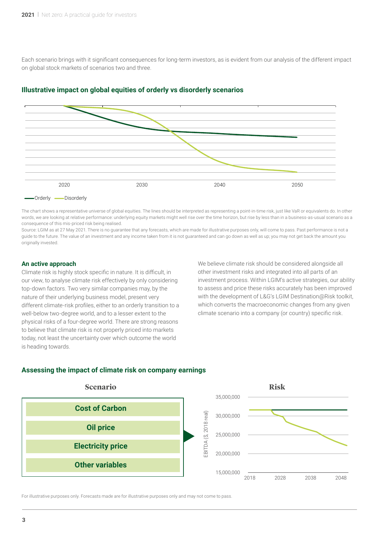Each scenario brings with it significant consequences for long-term investors, as is evident from our analysis of the different impact on global stock markets of scenarios two and three.



#### **Illustrative impact on global equities of orderly vs disorderly scenarios**

The chart shows a representative universe of global equities. The lines should be interpreted as representing a point-in-time risk, just like VaR or equivalents do. In other words, we are looking at relative performance: underlying equity markets might well rise over the time horizon, but rise by less than in a business-as-usual scenario as a consequence of this mis-priced risk being realised.

Source: LGIM as at 27 May 2021. There is no quarantee that any forecasts, which are made for illustrative purposes only, will come to pass. Past performance is not a guide to the future. The value of an investment and any income taken from it is not guaranteed and can go down as well as up; you may not get back the amount you originally invested.

#### **An active approach**

Climate risk is highly stock specific in nature. It is difficult, in our view, to analyse climate risk effectively by only considering top-down factors. Two very similar companies may, by the nature of their underlying business model, present very different climate-risk profiles, either to an orderly transition to a well-below two-degree world, and to a lesser extent to the physical risks of a four-degree world. There are strong reasons to believe that climate risk is not properly priced into markets today, not least the uncertainty over which outcome the world is heading towards.

We believe climate risk should be considered alongside all other investment risks and integrated into all parts of an investment process. Within LGIM's active strategies, our ability to assess and price these risks accurately has been improved with the development of L&G's LGIM Destination@Risk toolkit, which converts the macroeconomic changes from any given climate scenario into a company (or country) specific risk.

#### **Assessing the impact of climate risk on company earnings**



For illustrative purposes only. Forecasts made are for illustrative purposes only and may not come to pass.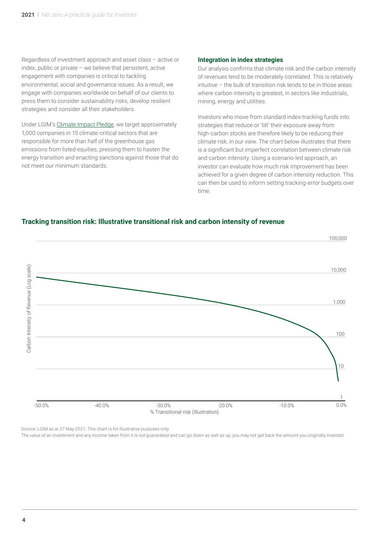Regardless of investment approach and asset class – active or index, public or private – we believe that persistent, active engagement with companies is critical to tackling environmental, social and governance issues. As a result, we engage with companies worldwide on behalf of our clients to press them to consider sustainability risks, develop resilient strategies and consider all their stakeholders.

Under LGIM's [Climate Impact Pledge](https://www.lgim.com/uk/en/responsible-investing/climate-impact-pledge/), we target approximately 1,000 companies in 15 climate-critical sectors that are responsible for more than half of the greenhouse gas emissions from listed equities, pressing them to hasten the energy transition and enacting sanctions against those that do not meet our minimum standards.

#### **Integration in index strategies**

Our analysis confirms that climate risk and the carbon intensity of revenues tend to be moderately correlated. This is relatively intuitive – the bulk of transition risk tends to be in those areas where carbon intensity is greatest, in sectors like industrials, mining, energy and utilities.

Investors who move from standard index-tracking funds into strategies that reduce or 'tilt' their exposure away from high-carbon stocks are therefore likely to be reducing their climate risk, in our view. The chart below illustrates that there is a significant but imperfect correlation between climate risk and carbon intensity. Using a scenario-led approach, an investor can evaluate how much risk improvement has been achieved for a given degree of carbon intensity reduction. This can then be used to inform setting tracking-error budgets over time.

## **Tracking transition risk: Illustrative transitional risk and carbon intensity of revenue**



Source: LGIM as at 27 May 2021. This chart is for illustrative purposes only.

The value of an investment and any income taken from it is not guaranteed and can go down as well as up, you may not get back the amount you originally invested.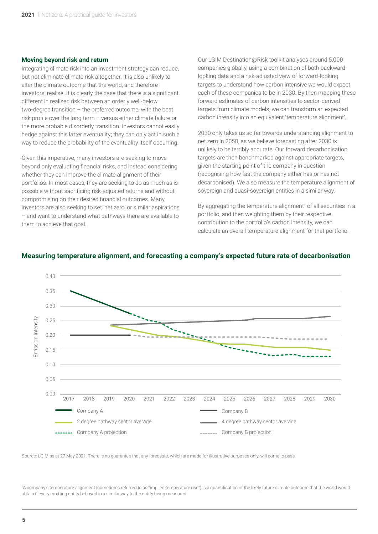#### **Moving beyond risk and return**

Integrating climate risk into an investment strategy can reduce, but not eliminate climate risk altogether. It is also unlikely to alter the climate outcome that the world, and therefore investors, realise. It is clearly the case that there is a significant different in realised risk between an orderly well-below two-degree transition – the preferred outcome, with the best risk profile over the long term – versus either climate failure or the more probable disorderly transition. Investors cannot easily hedge against this latter eventuality; they can only act in such a way to reduce the probability of the eventuality itself occurring.

Given this imperative, many investors are seeking to move beyond only evaluating financial risks, and instead considering whether they can improve the climate alignment of their portfolios. In most cases, they are seeking to do as much as is possible without sacrificing risk-adjusted returns and without compromising on their desired financial outcomes. Many investors are also seeking to set 'net zero' or similar aspirations – and want to understand what pathways there are available to them to achieve that goal.

Our LGIM Destination@Risk toolkit analyses around 5,000 companies globally, using a combination of both backwardlooking data and a risk-adjusted view of forward-looking targets to understand how carbon intensive we would expect each of these companies to be in 2030. By then mapping these forward estimates of carbon intensities to sector-derived targets from climate models, we can transform an expected carbon intensity into an equivalent 'temperature alignment'.

2030 only takes us so far towards understanding alignment to net zero in 2050, as we believe forecasting after 2030 is unlikely to be terribly accurate. Our forward decarbonisation targets are then benchmarked against appropriate targets, given the starting point of the company in question (recognising how fast the company either has or has not decarbonised). We also measure the temperature alignment of sovereign and quasi-sovereign entities in a similar way.

By aggregating the temperature alignment<sup>1</sup> of all securities in a portfolio, and then weighting them by their respective contribution to the portfolio's carbon intensity, we can calculate an overall temperature alignment for that portfolio.



## **Measuring temperature alignment, and forecasting a company's expected future rate of decarbonisation**

Source: LGIM as at 27 May 2021. There is no guarantee that any forecasts, which are made for illustrative purposes only, will come to pass

1 A company's temperature alignment (sometimes referred to as "implied temperature rise") is a quantification of the likely future climate outcome that the world would obtain if every emitting entity behaved in a similar way to the entity being measured.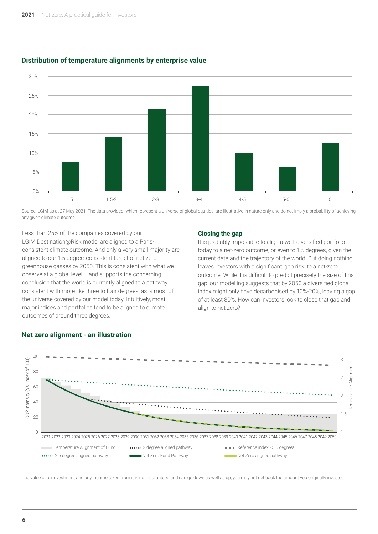

## **Distribution of temperature alignments by enterprise value**

Source: LGIM as at 27 May 2021. The data provided, which represent a universe of global equities, are illustrative in nature only and do not imply a probability of achieving any given climate outcome.

Less than 25% of the companies covered by our LGIM Destination@Risk model are aligned to a Parisconsistent climate outcome. And only a very small majority are aligned to our 1.5 degree-consistent target of net-zero greenhouse gasses by 2050. This is consistent with what we observe at a global level – and supports the concerning conclusion that the world is currently aligned to a pathway consistent with more like three to four degrees, as is most of the universe covered by our model today. Intuitively, most major indices and portfolios tend to be aligned to climate outcomes of around three degrees.

#### **Closing the gap**

It is probably impossible to align a well-diversified portfolio today to a net-zero outcome, or even to 1.5 degrees, given the current data and the trajectory of the world. But doing nothing leaves investors with a significant 'gap risk' to a net-zero outcome. While it is difficult to predict precisely the size of this gap, our modelling suggests that by 2050 a diversified global index might only have decarbonised by 10%-20%, leaving a gap of at least 80%. How can investors look to close that gap and align to net zero?



## **Net zero alignment - an illustration**

The value of an investment and any income taken from it is not guaranteed and can go down as well as up, you may not get back the amount you originally invested.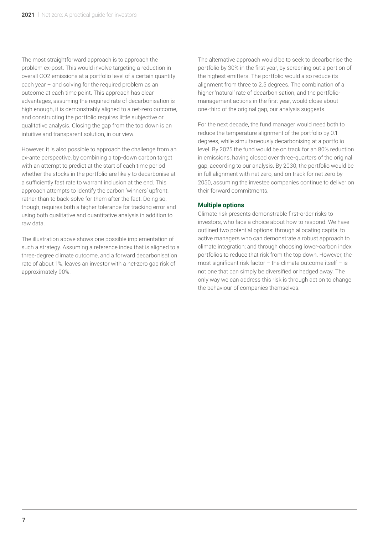The most straightforward approach is to approach the problem ex-post. This would involve targeting a reduction in overall CO2 emissions at a portfolio level of a certain quantity each year – and solving for the required problem as an outcome at each time point. This approach has clear advantages, assuming the required rate of decarbonisation is high enough, it is demonstrably aligned to a net-zero outcome, and constructing the portfolio requires little subjective or qualitative analysis. Closing the gap from the top down is an intuitive and transparent solution, in our view.

However, it is also possible to approach the challenge from an ex-ante perspective, by combining a top-down carbon target with an attempt to predict at the start of each time period whether the stocks in the portfolio are likely to decarbonise at a sufficiently fast rate to warrant inclusion at the end. This approach attempts to identify the carbon 'winners' upfront, rather than to back-solve for them after the fact. Doing so, though, requires both a higher tolerance for tracking error and using both qualitative and quantitative analysis in addition to raw data.

The illustration above shows one possible implementation of such a strategy. Assuming a reference index that is aligned to a three-degree climate outcome, and a forward decarbonisation rate of about 1%, leaves an investor with a net-zero gap risk of approximately 90%.

The alternative approach would be to seek to decarbonise the portfolio by 30% in the first year, by screening out a portion of the highest emitters. The portfolio would also reduce its alignment from three to 2.5 degrees. The combination of a higher 'natural' rate of decarbonisation, and the portfoliomanagement actions in the first year, would close about one-third of the original gap, our analysis suggests.

For the next decade, the fund manager would need both to reduce the temperature alignment of the portfolio by 0.1 degrees, while simultaneously decarbonising at a portfolio level. By 2025 the fund would be on track for an 80% reduction in emissions, having closed over three-quarters of the original gap, according to our analysis. By 2030, the portfolio would be in full alignment with net zero, and on track for net zero by 2050, assuming the investee companies continue to deliver on their forward commitments.

## **Multiple options**

Climate risk presents demonstrable first-order risks to investors, who face a choice about how to respond. We have outlined two potential options: through allocating capital to active managers who can demonstrate a robust approach to climate integration; and through choosing lower-carbon index portfolios to reduce that risk from the top down. However, the most significant risk factor – the climate outcome itself – is not one that can simply be diversified or hedged away. The only way we can address this risk is through action to change the behaviour of companies themselves.